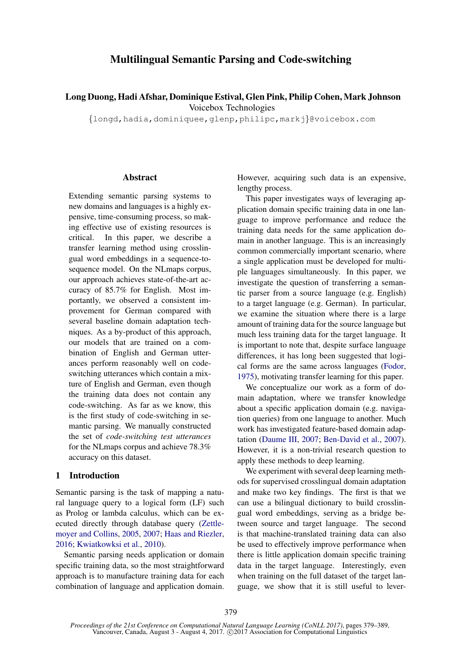# Multilingual Semantic Parsing and Code-switching

Long Duong, Hadi Afshar, Dominique Estival, Glen Pink, Philip Cohen, Mark Johnson Voicebox Technologies

{longd,hadia,dominiquee,glenp,philipc,markj}@voicebox.com

# **Abstract**

Extending semantic parsing systems to new domains and languages is a highly expensive, time-consuming process, so making effective use of existing resources is critical. In this paper, we describe a transfer learning method using crosslingual word embeddings in a sequence-tosequence model. On the NLmaps corpus, our approach achieves state-of-the-art accuracy of 85.7% for English. Most importantly, we observed a consistent improvement for German compared with several baseline domain adaptation techniques. As a by-product of this approach, our models that are trained on a combination of English and German utterances perform reasonably well on codeswitching utterances which contain a mixture of English and German, even though the training data does not contain any code-switching. As far as we know, this is the first study of code-switching in semantic parsing. We manually constructed the set of *code-switching test utterances* for the NLmaps corpus and achieve 78.3% accuracy on this dataset.

# 1 Introduction

Semantic parsing is the task of mapping a natural language query to a logical form (LF) such as Prolog or lambda calculus, which can be executed directly through database query (Zettlemoyer and Collins, 2005, 2007; Haas and Riezler, 2016; Kwiatkowksi et al., 2010).

Semantic parsing needs application or domain specific training data, so the most straightforward approach is to manufacture training data for each combination of language and application domain. However, acquiring such data is an expensive, lengthy process.

This paper investigates ways of leveraging application domain specific training data in one language to improve performance and reduce the training data needs for the same application domain in another language. This is an increasingly common commercially important scenario, where a single application must be developed for multiple languages simultaneously. In this paper, we investigate the question of transferring a semantic parser from a source language (e.g. English) to a target language (e.g. German). In particular, we examine the situation where there is a large amount of training data for the source language but much less training data for the target language. It is important to note that, despite surface language differences, it has long been suggested that logical forms are the same across languages (Fodor, 1975), motivating transfer learning for this paper.

We conceptualize our work as a form of domain adaptation, where we transfer knowledge about a specific application domain (e.g. navigation queries) from one language to another. Much work has investigated feature-based domain adaptation (Daume III, 2007; Ben-David et al., 2007). However, it is a non-trivial research question to apply these methods to deep learning.

We experiment with several deep learning methods for supervised crosslingual domain adaptation and make two key findings. The first is that we can use a bilingual dictionary to build crosslingual word embeddings, serving as a bridge between source and target language. The second is that machine-translated training data can also be used to effectively improve performance when there is little application domain specific training data in the target language. Interestingly, even when training on the full dataset of the target language, we show that it is still useful to lever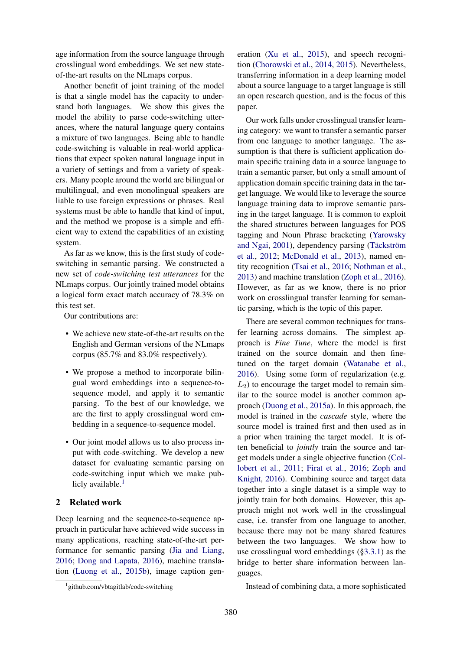age information from the source language through crosslingual word embeddings. We set new stateof-the-art results on the NLmaps corpus.

Another benefit of joint training of the model is that a single model has the capacity to understand both languages. We show this gives the model the ability to parse code-switching utterances, where the natural language query contains a mixture of two languages. Being able to handle code-switching is valuable in real-world applications that expect spoken natural language input in a variety of settings and from a variety of speakers. Many people around the world are bilingual or multilingual, and even monolingual speakers are liable to use foreign expressions or phrases. Real systems must be able to handle that kind of input, and the method we propose is a simple and efficient way to extend the capabilities of an existing system.

As far as we know, this is the first study of codeswitching in semantic parsing. We constructed a new set of *code-switching test utterances* for the NLmaps corpus. Our jointly trained model obtains a logical form exact match accuracy of 78.3% on this test set.

Our contributions are:

- We achieve new state-of-the-art results on the English and German versions of the NLmaps corpus (85.7% and 83.0% respectively).
- We propose a method to incorporate bilingual word embeddings into a sequence-tosequence model, and apply it to semantic parsing. To the best of our knowledge, we are the first to apply crosslingual word embedding in a sequence-to-sequence model.
- Our joint model allows us to also process input with code-switching. We develop a new dataset for evaluating semantic parsing on code-switching input which we make publicly available. $<sup>1</sup>$ </sup>

# 2 Related work

Deep learning and the sequence-to-sequence approach in particular have achieved wide success in many applications, reaching state-of-the-art performance for semantic parsing (Jia and Liang, 2016; Dong and Lapata, 2016), machine translation (Luong et al., 2015b), image caption gen-

1 github.com/vbtagitlab/code-switching

eration (Xu et al., 2015), and speech recognition (Chorowski et al., 2014, 2015). Nevertheless, transferring information in a deep learning model about a source language to a target language is still an open research question, and is the focus of this paper.

Our work falls under crosslingual transfer learning category: we want to transfer a semantic parser from one language to another language. The assumption is that there is sufficient application domain specific training data in a source language to train a semantic parser, but only a small amount of application domain specific training data in the target language. We would like to leverage the source language training data to improve semantic parsing in the target language. It is common to exploit the shared structures between languages for POS tagging and Noun Phrase bracketing (Yarowsky and Ngai, 2001), dependency parsing (Täckström et al., 2012; McDonald et al., 2013), named entity recognition (Tsai et al., 2016; Nothman et al., 2013) and machine translation (Zoph et al., 2016). However, as far as we know, there is no prior work on crosslingual transfer learning for semantic parsing, which is the topic of this paper.

There are several common techniques for transfer learning across domains. The simplest approach is *Fine Tune*, where the model is first trained on the source domain and then finetuned on the target domain (Watanabe et al., 2016). Using some form of regularization (e.g.  $L_2$ ) to encourage the target model to remain similar to the source model is another common approach (Duong et al., 2015a). In this approach, the model is trained in the *cascade* style, where the source model is trained first and then used as in a prior when training the target model. It is often beneficial to *jointly* train the source and target models under a single objective function (Collobert et al., 2011; Firat et al., 2016; Zoph and Knight, 2016). Combining source and target data together into a single dataset is a simple way to jointly train for both domains. However, this approach might not work well in the crosslingual case, i.e. transfer from one language to another, because there may not be many shared features between the two languages. We show how to use crosslingual word embeddings (§3.3.1) as the bridge to better share information between languages.

Instead of combining data, a more sophisticated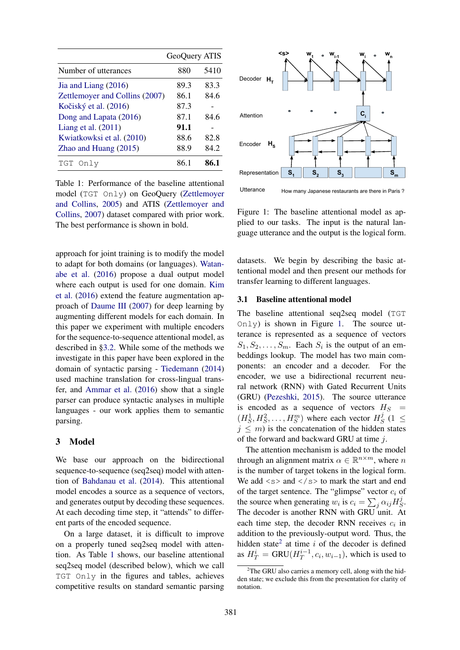|                                | GeoQuery ATIS |      |
|--------------------------------|---------------|------|
| Number of utterances           | 880           | 5410 |
| Jia and Liang $(2016)$         | 89.3          | 83.3 |
| Zettlemoyer and Collins (2007) | 86.1          | 84.6 |
| Kočiský et al. (2016)          | 87.3          |      |
| Dong and Lapata (2016)         | 87.1          | 84.6 |
| Liang et al. $(2011)$          | 91.1          |      |
| Kwiatkowksi et al. (2010)      | 88.6          | 82.8 |
| Zhao and Huang $(2015)$        | 88.9          | 84.2 |
| Only<br>TGT                    | 86.           | 86.1 |

Table 1: Performance of the baseline attentional model (TGT Only) on GeoQuery (Zettlemoyer and Collins, 2005) and ATIS (Zettlemoyer and Collins, 2007) dataset compared with prior work. The best performance is shown in bold.

approach for joint training is to modify the model to adapt for both domains (or languages). Watanabe et al. (2016) propose a dual output model where each output is used for one domain. Kim et al. (2016) extend the feature augmentation approach of Daume III (2007) for deep learning by augmenting different models for each domain. In this paper we experiment with multiple encoders for the sequence-to-sequence attentional model, as described in §3.2. While some of the methods we investigate in this paper have been explored in the domain of syntactic parsing - Tiedemann (2014) used machine translation for cross-lingual transfer, and Ammar et al. (2016) show that a single parser can produce syntactic analyses in multiple languages - our work applies them to semantic parsing.

### 3 Model

We base our approach on the bidirectional sequence-to-sequence (seq2seq) model with attention of Bahdanau et al. (2014). This attentional model encodes a source as a sequence of vectors, and generates output by decoding these sequences. At each decoding time step, it "attends" to different parts of the encoded sequence.

On a large dataset, it is difficult to improve on a properly tuned seq2seq model with attention. As Table 1 shows, our baseline attentional seq2seq model (described below), which we call TGT Only in the figures and tables, achieves competitive results on standard semantic parsing



Utterance How many Japanese restaurants are there in Paris ?

Figure 1: The baseline attentional model as applied to our tasks. The input is the natural language utterance and the output is the logical form.

datasets. We begin by describing the basic attentional model and then present our methods for transfer learning to different languages.

### 3.1 Baseline attentional model

The baseline attentional seq2seq model (TGT  $Onl$  is shown in Figure 1. The source utterance is represented as a sequence of vectors  $S_1, S_2, \ldots, S_m$ . Each  $S_i$  is the output of an embeddings lookup. The model has two main components: an encoder and a decoder. For the encoder, we use a bidirectional recurrent neural network (RNN) with Gated Recurrent Units (GRU) (Pezeshki, 2015). The source utterance is encoded as a sequence of vectors  $H_S$  =  $(H_S^1, H_S^2, \ldots, H_S^m)$  where each vector  $H_S^j$  $S<sup>j</sup>$  (1  $\leq$  $j \leq m$ ) is the concatenation of the hidden states of the forward and backward GRU at time j.

The attention mechanism is added to the model through an alignment matrix  $\alpha \in \mathbb{R}^{n \times m}$ , where n is the number of target tokens in the logical form. We add  $\langle s \rangle$  and  $\langle s \rangle$  to mark the start and end of the target sentence. The "glimpse" vector  $c_i$  of the source when generating  $w_i$  is  $c_i = \sum_j \alpha_{ij} H_{\mathcal{S}}^j$  $\frac{\jmath}{S}$ . The decoder is another RNN with GRU unit. At each time step, the decoder RNN receives  $c_i$  in addition to the previously-output word. Thus, the hidden state<sup>2</sup> at time  $i$  of the decoder is defined as  $H_T^i = \text{GRU}(H_T^{i-1}, c_i, w_{i-1})$ , which is used to

 $2$ The GRU also carries a memory cell, along with the hidden state; we exclude this from the presentation for clarity of notation.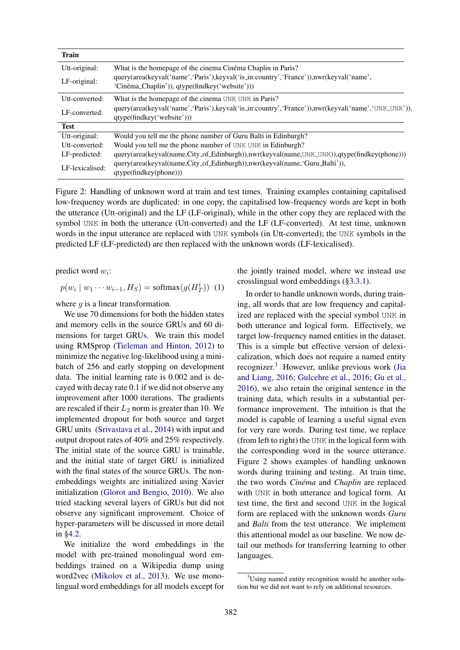| <b>Train</b>    |                                                                                                                                          |  |
|-----------------|------------------------------------------------------------------------------------------------------------------------------------------|--|
| Utt-original:   | What is the homepage of the cinema Cinéma Chaplin in Paris?                                                                              |  |
| LF-original:    | query(area(keyval('name','Paris'),keyval('is_in:country','France')),nwr(keyval('name',<br>'Cinéma_Chaplin')), qtype(findkey('website'))) |  |
| Utt-converted:  | What is the homepage of the cinema UNK UNK in Paris?                                                                                     |  |
| LF-converted:   | query(area(keyval('name','Paris'),keyval('is_in:country','France')),nwr(keyval('name','UNK_UNK')),<br>qtype(findkey('website')))         |  |
| <b>Test</b>     |                                                                                                                                          |  |
| Utt-original:   | Would you tell me the phone number of Guru Balti in Edinburgh?                                                                           |  |
| Utt-converted:  | Would you tell me the phone number of UNK UNK in Edinburgh?                                                                              |  |
| LF-predicted:   | query(area(keyval(name,City_of_Edinburgh)),nwr(keyval(name,UNK_UNK)),qtype(findkey(phone)))                                              |  |
| LF-lexicalised: | query(area(keyval(name,City_of_Edinburgh)),nwr(keyval(name,'Guru_Balti')),<br>qtype(findkey(phone))                                      |  |

Figure 2: Handling of unknown word at train and test times. Training examples containing capitalised low-frequency words are duplicated: in one copy, the capitalised low-frequency words are kept in both the utterance (Utt-original) and the LF (LF-original), while in the other copy they are replaced with the symbol UNK in both the utterance (Utt-converted) and the LF (LF-converted). At test time, unknown words in the input utterance are replaced with UNK symbols (in Utt-converted); the UNK symbols in the predicted LF (LF-predicted) are then replaced with the unknown words (LF-lexicalised).

predict word  $w_i$ :

$$
p(w_i \mid w_1 \cdots w_{i-1}, H_S) = \text{softmax}(g(H_T^i)) \tag{1}
$$

where  $g$  is a linear transformation.

We use 70 dimensions for both the hidden states and memory cells in the source GRUs and 60 dimensions for target GRUs. We train this model using RMSprop (Tieleman and Hinton, 2012) to minimize the negative log-likelihood using a minibatch of 256 and early stopping on development data. The initial learning rate is 0.002 and is decayed with decay rate 0.1 if we did not observe any improvement after 1000 iterations. The gradients are rescaled if their  $L_2$  norm is greater than 10. We implemented dropout for both source and target GRU units (Srivastava et al., 2014) with input and output dropout rates of 40% and 25% respectively. The initial state of the source GRU is trainable, and the initial state of target GRU is initialized with the final states of the source GRUs. The nonembeddings weights are initialized using Xavier initialization (Glorot and Bengio, 2010). We also tried stacking several layers of GRUs but did not observe any significant improvement. Choice of hyper-parameters will be discussed in more detail in §4.2.

We initialize the word embeddings in the model with pre-trained monolingual word embeddings trained on a Wikipedia dump using word2vec (Mikolov et al., 2013). We use monolingual word embeddings for all models except for the jointly trained model, where we instead use crosslingual word embeddings (§3.3.1).

In order to handle unknown words, during training, all words that are low frequency and capitalized are replaced with the special symbol UNK in both utterance and logical form. Effectively, we target low-frequency named entities in the dataset. This is a simple but effective version of delexicalization, which does not require a named entity recognizer.<sup>3</sup> However, unlike previous work (Jia and Liang, 2016; Gulcehre et al., 2016; Gu et al., 2016), we also retain the original sentence in the training data, which results in a substantial performance improvement. The intuition is that the model is capable of learning a useful signal even for very rare words. During test time, we replace (from left to right) the UNK in the logical form with the corresponding word in the source utterance. Figure 2 shows examples of handling unknown words during training and testing. At train time, the two words *Cinéma* and *Chaplin* are replaced with UNK in both utterance and logical form. At test time, the first and second UNK in the logical form are replaced with the unknown words *Guru* and *Balti* from the test utterance. We implement this attentional model as our baseline. We now detail our methods for transferring learning to other languages.

<sup>&</sup>lt;sup>3</sup>Using named entity recognition would be another solution but we did not want to rely on additional resources.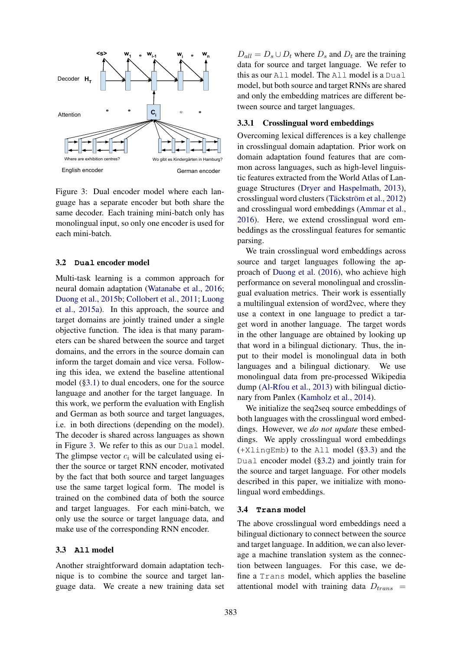

Figure 3: Dual encoder model where each language has a separate encoder but both share the same decoder. Each training mini-batch only has monolingual input, so only one encoder is used for each mini-batch.

#### 3.2 **Dual** encoder model

Multi-task learning is a common approach for neural domain adaptation (Watanabe et al., 2016; Duong et al., 2015b; Collobert et al., 2011; Luong et al., 2015a). In this approach, the source and target domains are jointly trained under a single objective function. The idea is that many parameters can be shared between the source and target domains, and the errors in the source domain can inform the target domain and vice versa. Following this idea, we extend the baseline attentional model (§3.1) to dual encoders, one for the source language and another for the target language. In this work, we perform the evaluation with English and German as both source and target languages, i.e. in both directions (depending on the model). The decoder is shared across languages as shown in Figure 3. We refer to this as our Dual model. The glimpse vector  $c_i$  will be calculated using either the source or target RNN encoder, motivated by the fact that both source and target languages use the same target logical form. The model is trained on the combined data of both the source and target languages. For each mini-batch, we only use the source or target language data, and make use of the corresponding RNN encoder.

#### 3.3 **All** model

Another straightforward domain adaptation technique is to combine the source and target language data. We create a new training data set

 $D_{all} = D_s \cup D_t$  where  $D_s$  and  $D_t$  are the training data for source and target language. We refer to this as our All model. The All model is a Dual model, but both source and target RNNs are shared and only the embedding matrices are different between source and target languages.

# 3.3.1 Crosslingual word embeddings

Overcoming lexical differences is a key challenge in crosslingual domain adaptation. Prior work on domain adaptation found features that are common across languages, such as high-level linguistic features extracted from the World Atlas of Language Structures (Dryer and Haspelmath, 2013), crosslingual word clusters (Täckström et al., 2012) and crosslingual word embeddings (Ammar et al., 2016). Here, we extend crosslingual word embeddings as the crosslingual features for semantic parsing.

We train crosslingual word embeddings across source and target languages following the approach of Duong et al. (2016), who achieve high performance on several monolingual and crosslingual evaluation metrics. Their work is essentially a multilingual extension of word2vec, where they use a context in one language to predict a target word in another language. The target words in the other language are obtained by looking up that word in a bilingual dictionary. Thus, the input to their model is monolingual data in both languages and a bilingual dictionary. We use monolingual data from pre-processed Wikipedia dump (Al-Rfou et al., 2013) with bilingual dictionary from Panlex (Kamholz et al., 2014).

We initialize the seq2seq source embeddings of both languages with the crosslingual word embeddings. However, we *do not update* these embeddings. We apply crosslingual word embeddings (+XlingEmb) to the All model (§3.3) and the Dual encoder model (§3.2) and jointly train for the source and target language. For other models described in this paper, we initialize with monolingual word embeddings.

#### 3.4 **Trans** model

The above crosslingual word embeddings need a bilingual dictionary to connect between the source and target language. In addition, we can also leverage a machine translation system as the connection between languages. For this case, we define a Trans model, which applies the baseline attentional model with training data  $D_{trans}$  =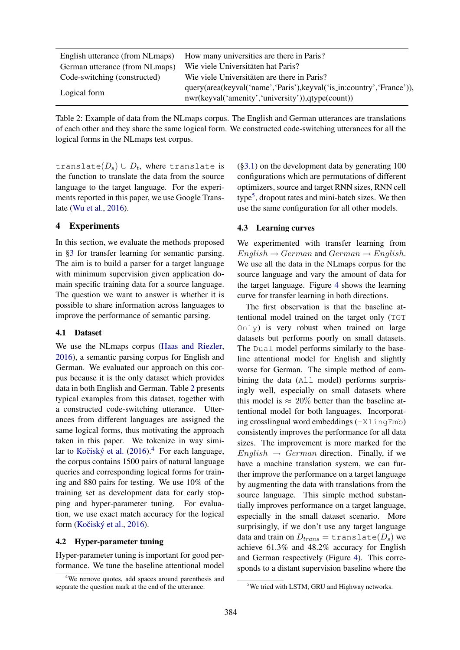| English utterance (from NLmaps) | How many universities are there in Paris?                                                                                  |
|---------------------------------|----------------------------------------------------------------------------------------------------------------------------|
| German utterance (from NLmaps)  | Wie viele Universitäten hat Paris?                                                                                         |
| Code-switching (constructed)    | Wie viele Universitäten are there in Paris?                                                                                |
| Logical form                    | query(area(keyval('name','Paris'), keyval('is_in:country','France')),<br>nwr(keyval('amenity','university')),qtype(count)) |

Table 2: Example of data from the NLmaps corpus. The English and German utterances are translations of each other and they share the same logical form. We constructed code-switching utterances for all the logical forms in the NLmaps test corpus.

translate $(D_s)\cup D_t$ , where translate is the function to translate the data from the source language to the target language. For the experiments reported in this paper, we use Google Translate (Wu et al., 2016).

# 4 Experiments

In this section, we evaluate the methods proposed in §3 for transfer learning for semantic parsing. The aim is to build a parser for a target language with minimum supervision given application domain specific training data for a source language. The question we want to answer is whether it is possible to share information across languages to improve the performance of semantic parsing.

#### 4.1 Dataset

We use the NLmaps corpus (Haas and Riezler, 2016), a semantic parsing corpus for English and German. We evaluated our approach on this corpus because it is the only dataset which provides data in both English and German. Table 2 presents typical examples from this dataset, together with a constructed code-switching utterance. Utterances from different languages are assigned the same logical forms, thus motivating the approach taken in this paper. We tokenize in way similar to Kočiský et al.  $(2016).<sup>4</sup>$  For each language, the corpus contains 1500 pairs of natural language queries and corresponding logical forms for training and 880 pairs for testing. We use 10% of the training set as development data for early stopping and hyper-parameter tuning. For evaluation, we use exact match accuracy for the logical form (Kočiský et al., 2016).

### 4.2 Hyper-parameter tuning

Hyper-parameter tuning is important for good performance. We tune the baseline attentional model

(§3.1) on the development data by generating 100 configurations which are permutations of different optimizers, source and target RNN sizes, RNN cell type<sup>5</sup>, dropout rates and mini-batch sizes. We then use the same configuration for all other models.

### 4.3 Learning curves

We experimented with transfer learning from  $English \rightarrow German$  and  $German \rightarrow English$ . We use all the data in the NLmaps corpus for the source language and vary the amount of data for the target language. Figure 4 shows the learning curve for transfer learning in both directions.

The first observation is that the baseline attentional model trained on the target only (TGT Only) is very robust when trained on large datasets but performs poorly on small datasets. The Dual model performs similarly to the baseline attentional model for English and slightly worse for German. The simple method of combining the data (All model) performs surprisingly well, especially on small datasets where this model is  $\approx 20\%$  better than the baseline attentional model for both languages. Incorporating crosslingual word embeddings (+XlingEmb) consistently improves the performance for all data sizes. The improvement is more marked for the  $English \rightarrow German$  direction. Finally, if we have a machine translation system, we can further improve the performance on a target language by augmenting the data with translations from the source language. This simple method substantially improves performance on a target language, especially in the small dataset scenario. More surprisingly, if we don't use any target language data and train on  $D_{trans} = \text{translate}(D_s)$  we achieve 61.3% and 48.2% accuracy for English and German respectively (Figure 4). This corresponds to a distant supervision baseline where the

<sup>&</sup>lt;sup>4</sup>We remove quotes, add spaces around parenthesis and separate the question mark at the end of the utterance.

<sup>5</sup>We tried with LSTM, GRU and Highway networks.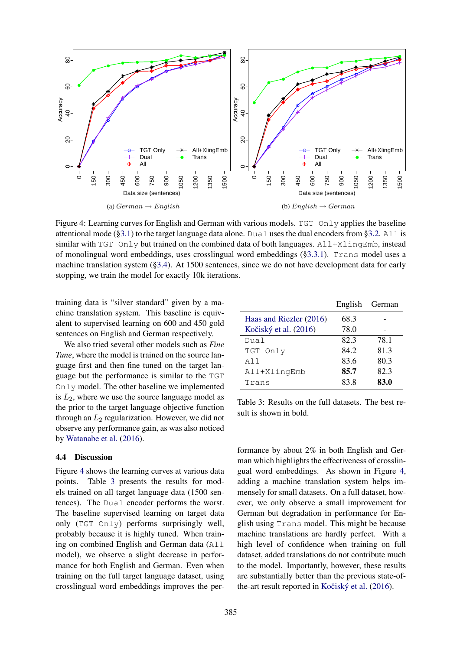

Figure 4: Learning curves for English and German with various models. TGT Only applies the baseline attentional mode (§3.1) to the target language data alone. Dual uses the dual encoders from §3.2. All is similar with  $TGT$  Only but trained on the combined data of both languages.  $All+XlingEmb$ , instead of monolingual word embeddings, uses crosslingual word embeddings (§3.3.1). Trans model uses a machine translation system (§3.4). At 1500 sentences, since we do not have development data for early stopping, we train the model for exactly 10k iterations.

training data is "silver standard" given by a machine translation system. This baseline is equivalent to supervised learning on 600 and 450 gold sentences on English and German respectively.

We also tried several other models such as *Fine Tune*, where the model is trained on the source language first and then fine tuned on the target language but the performance is similar to the TGT Only model. The other baseline we implemented is  $L_2$ , where we use the source language model as the prior to the target language objective function through an  $L_2$  regularization. However, we did not observe any performance gain, as was also noticed by Watanabe et al. (2016).

# 4.4 Discussion

Figure 4 shows the learning curves at various data points. Table 3 presents the results for models trained on all target language data (1500 sentences). The Dual encoder performs the worst. The baseline supervised learning on target data only (TGT Only) performs surprisingly well, probably because it is highly tuned. When training on combined English and German data (All model), we observe a slight decrease in performance for both English and German. Even when training on the full target language dataset, using crosslingual word embeddings improves the per-

|                         | English | German |
|-------------------------|---------|--------|
| Haas and Riezler (2016) | 68.3    |        |
| Kočiský et al. (2016)   | 78.0    |        |
| Dual                    | 82.3    | 78.1   |
| TGT Only                | 84.2    | 81.3   |
| All                     | 83.6    | 80.3   |
| All+XlingEmb            | 85.7    | 82.3   |
| Trans                   | 83.8    | 83.0   |

Table 3: Results on the full datasets. The best result is shown in bold.

formance by about 2% in both English and German which highlights the effectiveness of crosslingual word embeddings. As shown in Figure 4, adding a machine translation system helps immensely for small datasets. On a full dataset, however, we only observe a small improvement for German but degradation in performance for English using Trans model. This might be because machine translations are hardly perfect. With a high level of confidence when training on full dataset, added translations do not contribute much to the model. Importantly, however, these results are substantially better than the previous state-ofthe-art result reported in Kočiský et al. (2016).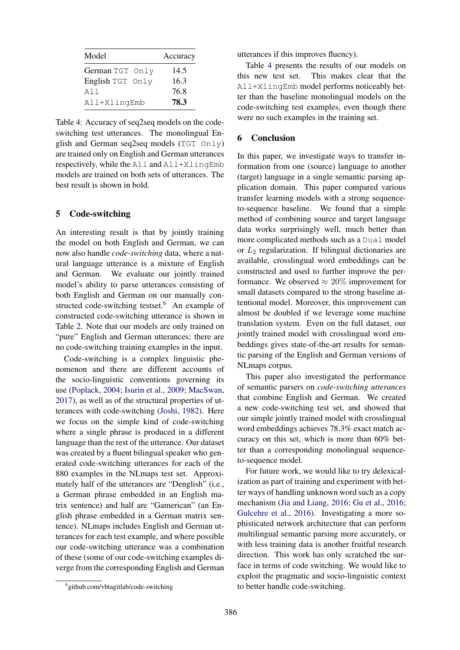| Model            | Accuracy |
|------------------|----------|
| German TGT Only  | 14.5     |
| English TGT Only | 16.3     |
| A11              | 76.8     |
| All+XlingEmb     | 78.3     |

Table 4: Accuracy of seq2seq models on the codeswitching test utterances. The monolingual English and German seq2seq models (TGT Only) are trained only on English and German utterances respectively, while the All and All+XlingEmb models are trained on both sets of utterances. The best result is shown in bold.

# 5 Code-switching

An interesting result is that by jointly training the model on both English and German, we can now also handle *code-switching* data, where a natural language utterance is a mixture of English and German. We evaluate our jointly trained model's ability to parse utterances consisting of both English and German on our manually constructed code-switching testset.<sup>6</sup> An example of constructed code-switching utterance is shown in Table 2. Note that our models are only trained on "pure" English and German utterances; there are no code-switching training examples in the input.

Code-switching is a complex linguistic phenomenon and there are different accounts of the socio-linguistic conventions governing its use (Poplack, 2004; Isurin et al., 2009; MacSwan, 2017), as well as of the structural properties of utterances with code-switching (Joshi, 1982). Here we focus on the simple kind of code-switching where a single phrase is produced in a different language than the rest of the utterance. Our dataset was created by a fluent bilingual speaker who generated code-switching utterances for each of the 880 examples in the NLmaps test set. Approximately half of the utterances are "Denglish" (i.e., a German phrase embedded in an English matrix sentence) and half are "Gamerican" (an English phrase embedded in a German matrix sentence). NLmaps includes English and German utterances for each test example, and where possible our code-switching utterance was a combination of these (some of our code-switching examples diverge from the corresponding English and German utterances if this improves fluency).

Table 4 presents the results of our models on this new test set. This makes clear that the All+XlingEmb model performs noticeably better than the baseline monolingual models on the code-switching test examples, even though there were no such examples in the training set.

# 6 Conclusion

In this paper, we investigate ways to transfer information from one (source) language to another (target) language in a single semantic parsing application domain. This paper compared various transfer learning models with a strong sequenceto-sequence baseline. We found that a simple method of combining source and target language data works surprisingly well, much better than more complicated methods such as a Dual model or  $L_2$  regularization. If bilingual dictionaries are available, crosslingual word embeddings can be constructed and used to further improve the performance. We observed  $\approx 20\%$  improvement for small datasets compared to the strong baseline attentional model. Moreover, this improvement can almost be doubled if we leverage some machine translation system. Even on the full dataset, our jointly trained model with crosslingual word embeddings gives state-of-the-art results for semantic parsing of the English and German versions of NLmaps corpus.

This paper also investigated the performance of semantic parsers on *code-switching utterances* that combine English and German. We created a new code-switching test set, and showed that our simple jointly trained model with crosslingual word embeddings achieves 78.3% exact match accuracy on this set, which is more than 60% better than a corresponding monolingual sequenceto-sequence model.

For future work, we would like to try delexicalization as part of training and experiment with better ways of handling unknown word such as a copy mechanism (Jia and Liang, 2016; Gu et al., 2016; Gulcehre et al., 2016). Investigating a more sophisticated network architecture that can perform multilingual semantic parsing more accurately, or with less training data is another fruitful research direction. This work has only scratched the surface in terms of code switching. We would like to exploit the pragmatic and socio-linguistic context to better handle code-switching.

<sup>6</sup> github.com/vbtagitlab/code-switching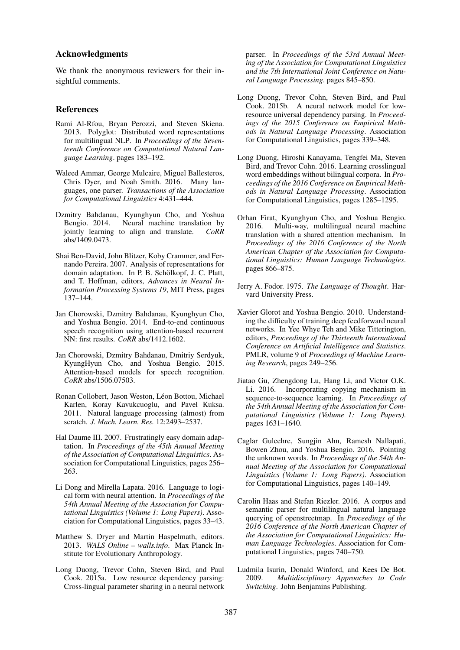# Acknowledgments

We thank the anonymous reviewers for their insightful comments.

#### References

- Rami Al-Rfou, Bryan Perozzi, and Steven Skiena. 2013. Polyglot: Distributed word representations for multilingual NLP. In *Proceedings of the Seventeenth Conference on Computational Natural Language Learning*. pages 183–192.
- Waleed Ammar, George Mulcaire, Miguel Ballesteros, Chris Dyer, and Noah Smith. 2016. Many languages, one parser. *Transactions of the Association for Computational Linguistics* 4:431–444.
- Dzmitry Bahdanau, Kyunghyun Cho, and Yoshua Bengio. 2014. Neural machine translation by iointly learning to align and translate.  $C_0RR$ jointly learning to align and translate. abs/1409.0473.
- Shai Ben-David, John Blitzer, Koby Crammer, and Fernando Pereira. 2007. Analysis of representations for domain adaptation. In P. B. Schölkopf, J. C. Platt, and T. Hoffman, editors, *Advances in Neural Information Processing Systems 19*, MIT Press, pages 137–144.
- Jan Chorowski, Dzmitry Bahdanau, Kyunghyun Cho, and Yoshua Bengio. 2014. End-to-end continuous speech recognition using attention-based recurrent NN: first results. *CoRR* abs/1412.1602.
- Jan Chorowski, Dzmitry Bahdanau, Dmitriy Serdyuk, KyungHyun Cho, and Yoshua Bengio. 2015. Attention-based models for speech recognition. *CoRR* abs/1506.07503.
- Ronan Collobert, Jason Weston, Léon Bottou, Michael Karlen, Koray Kavukcuoglu, and Pavel Kuksa. 2011. Natural language processing (almost) from scratch. *J. Mach. Learn. Res.* 12:2493–2537.
- Hal Daume III. 2007. Frustratingly easy domain adaptation. In *Proceedings of the 45th Annual Meeting of the Association of Computational Linguistics*. Association for Computational Linguistics, pages 256– 263.
- Li Dong and Mirella Lapata. 2016. Language to logical form with neural attention. In *Proceedings of the 54th Annual Meeting of the Association for Computational Linguistics (Volume 1: Long Papers)*. Association for Computational Linguistics, pages 33–43.
- Matthew S. Dryer and Martin Haspelmath, editors. 2013. *WALS Online – walls.info*. Max Planck Institute for Evolutionary Anthropology.
- Long Duong, Trevor Cohn, Steven Bird, and Paul Cook. 2015a. Low resource dependency parsing: Cross-lingual parameter sharing in a neural network

parser. In *Proceedings of the 53rd Annual Meeting of the Association for Computational Linguistics and the 7th International Joint Conference on Natural Language Processing*. pages 845–850.

- Long Duong, Trevor Cohn, Steven Bird, and Paul Cook. 2015b. A neural network model for lowresource universal dependency parsing. In *Proceedings of the 2015 Conference on Empirical Methods in Natural Language Processing*. Association for Computational Linguistics, pages 339–348.
- Long Duong, Hiroshi Kanayama, Tengfei Ma, Steven Bird, and Trevor Cohn. 2016. Learning crosslingual word embeddings without bilingual corpora. In *Proceedings of the 2016 Conference on Empirical Methods in Natural Language Processing*. Association for Computational Linguistics, pages 1285–1295.
- Orhan Firat, Kyunghyun Cho, and Yoshua Bengio. 2016. Multi-way, multilingual neural machine translation with a shared attention mechanism. In *Proceedings of the 2016 Conference of the North American Chapter of the Association for Computational Linguistics: Human Language Technologies*. pages 866–875.
- Jerry A. Fodor. 1975. *The Language of Thought*. Harvard University Press.
- Xavier Glorot and Yoshua Bengio. 2010. Understanding the difficulty of training deep feedforward neural networks. In Yee Whye Teh and Mike Titterington, editors, *Proceedings of the Thirteenth International Conference on Artificial Intelligence and Statistics*. PMLR, volume 9 of *Proceedings of Machine Learning Research*, pages 249–256.
- Jiatao Gu, Zhengdong Lu, Hang Li, and Victor O.K. Li. 2016. Incorporating copying mechanism in sequence-to-sequence learning. In *Proceedings of the 54th Annual Meeting of the Association for Computational Linguistics (Volume 1: Long Papers)*. pages 1631–1640.
- Caglar Gulcehre, Sungjin Ahn, Ramesh Nallapati, Bowen Zhou, and Yoshua Bengio. 2016. Pointing the unknown words. In *Proceedings of the 54th Annual Meeting of the Association for Computational Linguistics (Volume 1: Long Papers)*. Association for Computational Linguistics, pages 140–149.
- Carolin Haas and Stefan Riezler. 2016. A corpus and semantic parser for multilingual natural language querying of openstreetmap. In *Proceedings of the 2016 Conference of the North American Chapter of the Association for Computational Linguistics: Human Language Technologies*. Association for Computational Linguistics, pages 740–750.
- Ludmila Isurin, Donald Winford, and Kees De Bot. 2009. *Multidisciplinary Approaches to Code Switching*. John Benjamins Publishing.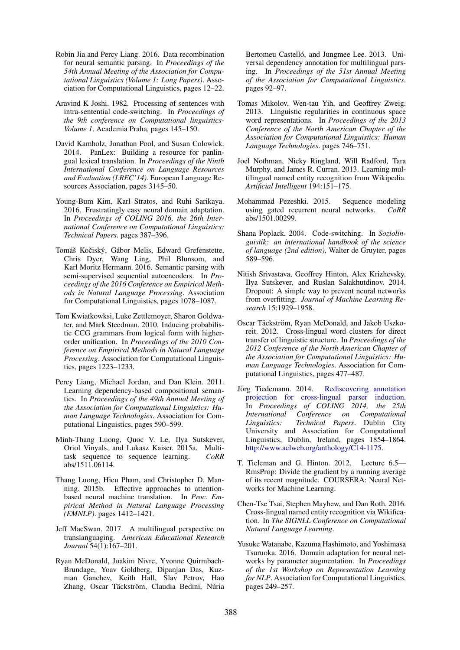- Robin Jia and Percy Liang. 2016. Data recombination for neural semantic parsing. In *Proceedings of the 54th Annual Meeting of the Association for Computational Linguistics (Volume 1: Long Papers)*. Association for Computational Linguistics, pages 12–22.
- Aravind K Joshi. 1982. Processing of sentences with intra-sentential code-switching. In *Proceedings of the 9th conference on Computational linguistics-Volume 1*. Academia Praha, pages 145–150.
- David Kamholz, Jonathan Pool, and Susan Colowick. 2014. PanLex: Building a resource for panlingual lexical translation. In *Proceedings of the Ninth International Conference on Language Resources and Evaluation (LREC'14)*. European Language Resources Association, pages 3145–50.
- Young-Bum Kim, Karl Stratos, and Ruhi Sarikaya. 2016. Frustratingly easy neural domain adaptation. In *Proceedings of COLING 2016, the 26th International Conference on Computational Linguistics: Technical Papers*. pages 387–396.
- Tomáš Kočiský, Gábor Melis, Edward Grefenstette, Chris Dyer, Wang Ling, Phil Blunsom, and Karl Moritz Hermann. 2016. Semantic parsing with semi-supervised sequential autoencoders. In *Proceedings of the 2016 Conference on Empirical Methods in Natural Language Processing*. Association for Computational Linguistics, pages 1078–1087.
- Tom Kwiatkowksi, Luke Zettlemoyer, Sharon Goldwater, and Mark Steedman. 2010. Inducing probabilistic CCG grammars from logical form with higherorder unification. In *Proceedings of the 2010 Conference on Empirical Methods in Natural Language Processing*. Association for Computational Linguistics, pages 1223–1233.
- Percy Liang, Michael Jordan, and Dan Klein. 2011. Learning dependency-based compositional semantics. In *Proceedings of the 49th Annual Meeting of the Association for Computational Linguistics: Human Language Technologies*. Association for Computational Linguistics, pages 590–599.
- Minh-Thang Luong, Quoc V. Le, Ilya Sutskever, Oriol Vinyals, and Lukasz Kaiser. 2015a. Multitask sequence to sequence learning. *CoRR* abs/1511.06114.
- Thang Luong, Hieu Pham, and Christopher D. Manning. 2015b. Effective approaches to attentionbased neural machine translation. In *Proc. Empirical Method in Natural Language Processing (EMNLP)*. pages 1412–1421.
- Jeff MacSwan. 2017. A multilingual perspective on translanguaging. *American Educational Research Journal* 54(1):167–201.
- Ryan McDonald, Joakim Nivre, Yvonne Quirmbach-Brundage, Yoav Goldberg, Dipanjan Das, Kuzman Ganchev, Keith Hall, Slav Petrov, Hao Zhang, Oscar Täckström, Claudia Bedini, Núria

Bertomeu Castelló, and Jungmee Lee, 2013. Universal dependency annotation for multilingual parsing. In *Proceedings of the 51st Annual Meeting of the Association for Computational Linguistics*. pages 92–97.

- Tomas Mikolov, Wen-tau Yih, and Geoffrey Zweig. 2013. Linguistic regularities in continuous space word representations. In *Proceedings of the 2013 Conference of the North American Chapter of the Association for Computational Linguistics: Human Language Technologies*. pages 746–751.
- Joel Nothman, Nicky Ringland, Will Radford, Tara Murphy, and James R. Curran. 2013. Learning multilingual named entity recognition from Wikipedia. *Artificial Intelligent* 194:151–175.
- Mohammad Pezeshki. 2015. Sequence modeling using gated recurrent neural networks. *CoRR* abs/1501.00299.
- Shana Poplack. 2004. Code-switching. In *Soziolinguistik: an international handbook of the science of language (2nd edition)*, Walter de Gruyter, pages 589–596.
- Nitish Srivastava, Geoffrey Hinton, Alex Krizhevsky, Ilya Sutskever, and Ruslan Salakhutdinov. 2014. Dropout: A simple way to prevent neural networks from overfitting. *Journal of Machine Learning Research* 15:1929–1958.
- Oscar Täckström, Ryan McDonald, and Jakob Uszkoreit. 2012. Cross-lingual word clusters for direct transfer of linguistic structure. In *Proceedings of the 2012 Conference of the North American Chapter of the Association for Computational Linguistics: Human Language Technologies*. Association for Computational Linguistics, pages 477–487.
- Jörg Tiedemann. 2014. Rediscovering annotation projection for cross-lingual parser induction. In *Proceedings of COLING 2014, the 25th International Conference on Computational Linguistics: Technical Papers*. Dublin City University and Association for Computational Linguistics, Dublin, Ireland, pages 1854–1864. http://www.aclweb.org/anthology/C14-1175.
- T. Tieleman and G. Hinton. 2012. Lecture 6.5— RmsProp: Divide the gradient by a running average of its recent magnitude. COURSERA: Neural Networks for Machine Learning.
- Chen-Tse Tsai, Stephen Mayhew, and Dan Roth. 2016. Cross-lingual named entity recognition via Wikification. In *The SIGNLL Conference on Computational Natural Language Learning*.
- Yusuke Watanabe, Kazuma Hashimoto, and Yoshimasa Tsuruoka. 2016. Domain adaptation for neural networks by parameter augmentation. In *Proceedings of the 1st Workshop on Representation Learning for NLP*. Association for Computational Linguistics, pages 249–257.